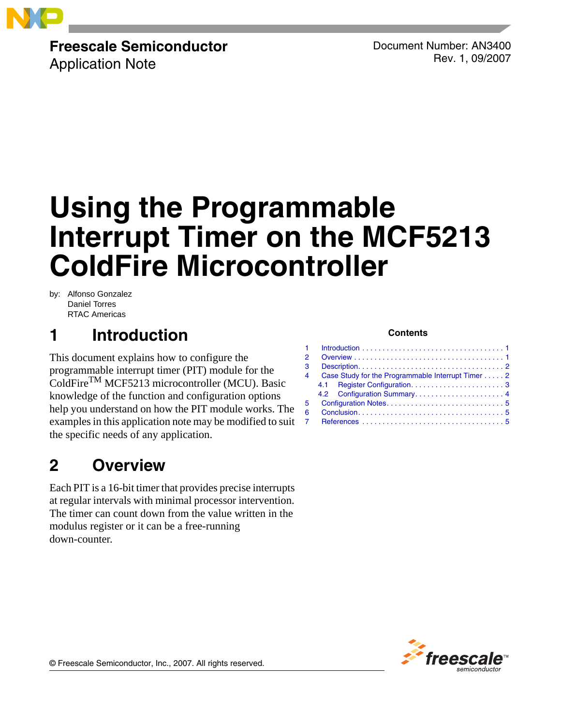

# **Freescale Semiconductor**

Application Note

Document Number: AN3400 Rev. 1, 09/2007

# **Using the Programmable Interrupt Timer on the MCF5213 ColdFire Microcontroller**

by: Alfonso Gonzalez Daniel Torres RTAC Americas

# <span id="page-0-0"></span>**1 Introduction**

This document explains how to configure the programmable interrupt timer (PIT) module for the ColdFireTM MCF5213 microcontroller (MCU). Basic knowledge of the function and configuration options help you understand on how the PIT module works. The examples in this application note may be modified to suit the specific needs of any application.

# <span id="page-0-1"></span>**2 Overview**

Each PIT is a 16-bit timer that provides precise interrupts at regular intervals with minimal processor intervention. The timer can count down from the value written in the modulus register or it can be a free-running down-counter.

### **Contents**

| 2. |                                                   |  |  |  |  |  |  |  |  |  |  |  |  |
|----|---------------------------------------------------|--|--|--|--|--|--|--|--|--|--|--|--|
| 3  |                                                   |  |  |  |  |  |  |  |  |  |  |  |  |
| 4  | Case Study for the Programmable Interrupt Timer 2 |  |  |  |  |  |  |  |  |  |  |  |  |
|    |                                                   |  |  |  |  |  |  |  |  |  |  |  |  |
|    |                                                   |  |  |  |  |  |  |  |  |  |  |  |  |
| 5  |                                                   |  |  |  |  |  |  |  |  |  |  |  |  |
| 6  |                                                   |  |  |  |  |  |  |  |  |  |  |  |  |
|    |                                                   |  |  |  |  |  |  |  |  |  |  |  |  |
|    |                                                   |  |  |  |  |  |  |  |  |  |  |  |  |



© Freescale Semiconductor, Inc., 2007. All rights reserved.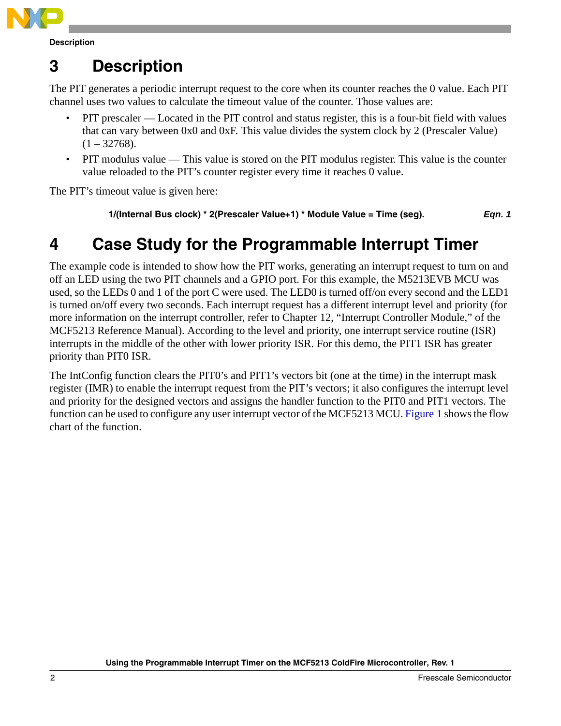

# <span id="page-1-0"></span>**3 Description**

The PIT generates a periodic interrupt request to the core when its counter reaches the 0 value. Each PIT channel uses two values to calculate the timeout value of the counter. Those values are:

- PIT prescaler Located in the PIT control and status register, this is a four-bit field with values that can vary between 0x0 and 0xF. This value divides the system clock by 2 (Prescaler Value)  $(1 - 32768)$ .
- PIT modulus value This value is stored on the PIT modulus register. This value is the counter value reloaded to the PIT's counter register every time it reaches 0 value.

The PIT's timeout value is given here:

**1/(Internal Bus clock) \* 2(Prescaler Value+1) \* Module Value = Time (seg).** *Eqn. 1*

# <span id="page-1-1"></span>**4 Case Study for the Programmable Interrupt Timer**

The example code is intended to show how the PIT works, generating an interrupt request to turn on and off an LED using the two PIT channels and a GPIO port. For this example, the M5213EVB MCU was used, so the LEDs 0 and 1 of the port C were used. The LED0 is turned off/on every second and the LED1 is turned on/off every two seconds. Each interrupt request has a different interrupt level and priority (for more information on the interrupt controller, refer to Chapter 12, "Interrupt Controller Module," of the MCF5213 Reference Manual). According to the level and priority, one interrupt service routine (ISR) interrupts in the middle of the other with lower priority ISR. For this demo, the PIT1 ISR has greater priority than PIT0 ISR.

The IntConfig function clears the PIT0's and PIT1's vectors bit (one at the time) in the interrupt mask register (IMR) to enable the interrupt request from the PIT's vectors; it also configures the interrupt level and priority for the designed vectors and assigns the handler function to the PIT0 and PIT1 vectors. The function can be used to configure any user interrupt vector of the MCF5213 MCU. [Figure 1](#page-2-1) shows the flow chart of the function.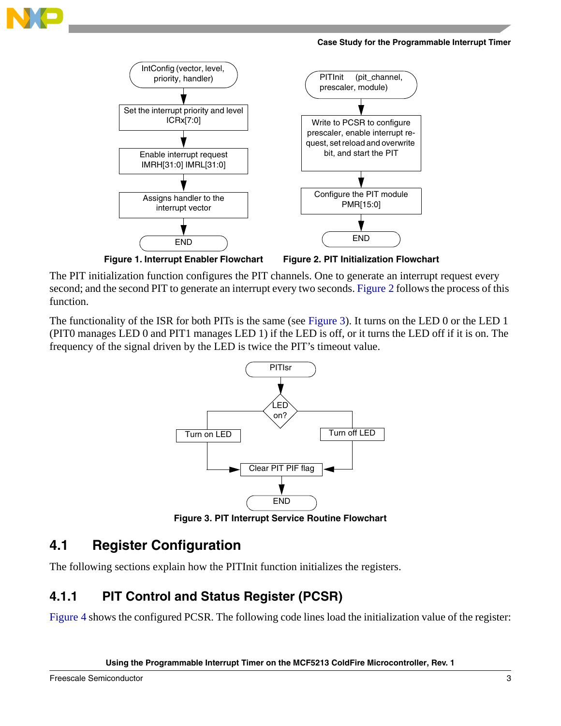

**Case Study for the Programmable Interrupt Timer**



<span id="page-2-1"></span>**Figure 1. Interrupt Enabler Flowchart**

<span id="page-2-2"></span>**Figure 2. PIT Initialization Flowchart**

The PIT initialization function configures the PIT channels. One to generate an interrupt request every second; and the second PIT to generate an interrupt every two seconds. [Figure 2](#page-2-2) follows the process of this function.

The functionality of the ISR for both PITs is the same (see [Figure 3](#page-2-3)). It turns on the LED 0 or the LED 1 (PIT0 manages LED 0 and PIT1 manages LED 1) if the LED is off, or it turns the LED off if it is on. The frequency of the signal driven by the LED is twice the PIT's timeout value.



**Figure 3. PIT Interrupt Service Routine Flowchart**

### <span id="page-2-3"></span><span id="page-2-0"></span>**4.1 Register Configuration**

The following sections explain how the PITInit function initializes the registers.

### **4.1.1 PIT Control and Status Register (PCSR)**

[Figure 4](#page-3-1) shows the configured PCSR. The following code lines load the initialization value of the register:

**Using the Programmable Interrupt Timer on the MCF5213 ColdFire Microcontroller, Rev. 1**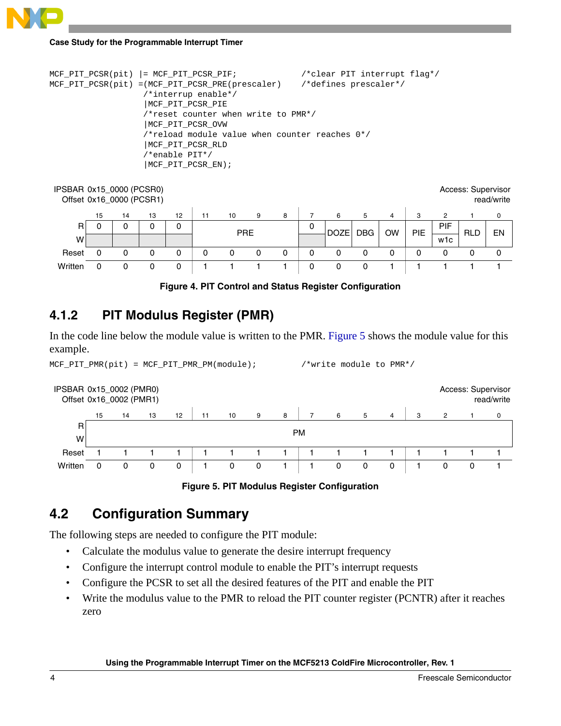# **Case Study for the Programmable Interrupt Timer**

```
MCF_PIT_PCSR(pit) |= MCF_PIT_PCSR_PIF; /*clear PIT interrupt flag*/
MCF_PIT_PCSR(pit) =(MCF_PIT_PCSR_PRE(prescaler) /*defines prescaler*/
                    /*interrup enable*/
                    |MCF_PIT_PCSR_PIE 
                    /*reset counter when write to PMR*/
                    |MCF_PIT_PCSR_OVW 
                    /*reload module value when counter reaches 0*/
                    |MCF_PIT_PCSR_RLD 
                    /*enable PIT*/
                    |MCF_PIT_PCSR_EN);
```

| IPSBAR 0x15_0000 (PCSR0)<br>Access: Supervisor<br>Offset 0x16_0000 (PCSR1)<br>read/write |    |    |    |    |            |    |   |   |   |             |   |                  |            |     |            |    |
|------------------------------------------------------------------------------------------|----|----|----|----|------------|----|---|---|---|-------------|---|------------------|------------|-----|------------|----|
|                                                                                          | 15 | 14 | 13 | 12 | 11         | 10 | 9 | 8 |   | 6           | 5 | 4                | з          | 2   |            | 0  |
| R                                                                                        | 0  |    | 0  | 0  | <b>PRE</b> |    |   |   | 0 | <b>DOZE</b> |   | <b>DBG</b><br>OW | <b>PIE</b> | PIF | <b>RLD</b> | EN |
| w                                                                                        |    |    |    |    |            |    |   |   |   |             |   |                  |            | w1c |            |    |
| Reset                                                                                    | 0  |    |    | 0  | 0          |    |   | 0 | 0 |             | 0 |                  |            |     |            | 0  |
| Written                                                                                  | 0  |    | 0  | 0  |            |    |   |   | 0 |             |   |                  |            |     |            |    |



### <span id="page-3-1"></span>**4.1.2 PIT Modulus Register (PMR)**

In the code line below the module value is written to the PMR. [Figure 5](#page-3-2) shows the module value for this example.

MCF\_PIT\_PMR(pit) = MCF\_PIT\_PMR\_PM(module); /\*write module to PMR\*/





### <span id="page-3-2"></span><span id="page-3-0"></span>**4.2 Configuration Summary**

The following steps are needed to configure the PIT module:

- Calculate the modulus value to generate the desire interrupt frequency
- Configure the interrupt control module to enable the PIT's interrupt requests
- Configure the PCSR to set all the desired features of the PIT and enable the PIT
- Write the modulus value to the PMR to reload the PIT counter register (PCNTR) after it reaches zero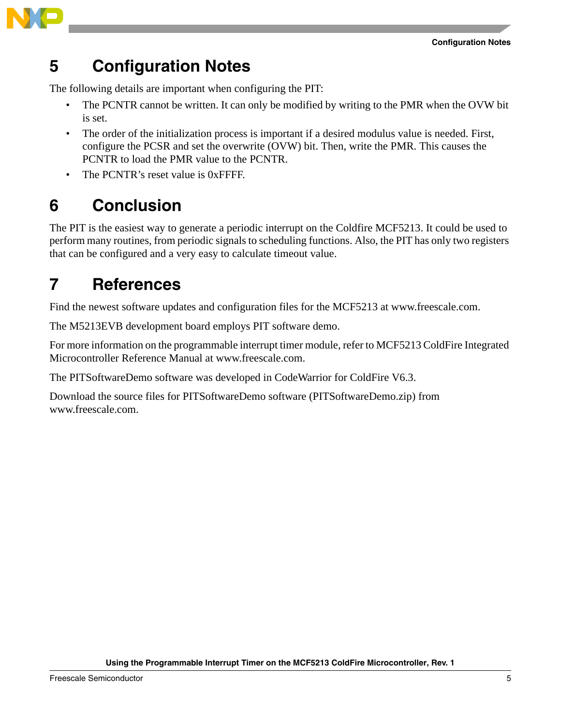

## <span id="page-4-0"></span>**5 Configuration Notes**

The following details are important when configuring the PIT:

- The PCNTR cannot be written. It can only be modified by writing to the PMR when the OVW bit is set.
- The order of the initialization process is important if a desired modulus value is needed. First, configure the PCSR and set the overwrite (OVW) bit. Then, write the PMR. This causes the PCNTR to load the PMR value to the PCNTR.
- The PCNTR's reset value is 0xFFFF.

# <span id="page-4-1"></span>**6 Conclusion**

The PIT is the easiest way to generate a periodic interrupt on the Coldfire MCF5213. It could be used to perform many routines, from periodic signals to scheduling functions. Also, the PIT has only two registers that can be configured and a very easy to calculate timeout value.

# <span id="page-4-2"></span>**7 References**

Find the newest software updates and configuration files for the MCF5213 at www.freescale.com.

The M5213EVB development board employs PIT software demo.

For more information on the programmable interrupt timer module, refer to MCF5213 ColdFire Integrated Microcontroller Reference Manual at www.freescale.com.

The PITSoftwareDemo software was developed in CodeWarrior for ColdFire V6.3.

Download the source files for PITSoftwareDemo software (PITSoftwareDemo.zip) from www.freescale.com.